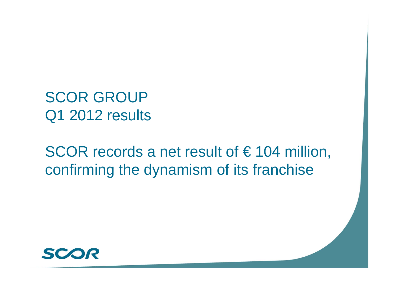SCOR GROUP Q1 2012 results

SCOR records a net result of  $\epsilon$  104 million, confirming the dynamism of its franchise

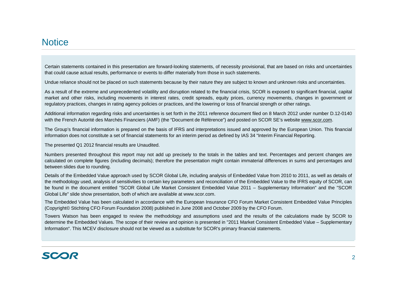#### **Notice**

Certain statements contained in this presentation are forward-looking statements, of necessity provisional, that are based on risks and uncertainties that could cause actual results, performance or events to differ materially from those in such statements.

Undue reliance should not be placed on such statements because by their nature they are subject to known and unknown risks and uncertainties.

As <sup>a</sup> result of the extreme and unprecedented volatility and disruption related to the financial crisis, SCOR is exposed to significant financial, capital market and other risks, including movements in interest rates, credit spreads, equity prices, currency movements, changes in government or regulatory practices, changes in rating agency policies or practices, and the lowering or loss of financial strength or other ratings.

Additional information regarding risks and uncertainties is set forth in the 2011 reference document filed on 8 March 2012 under number D.12-0140 with the French Autorité des Marchés Financiers (AMF) (the "Document de Référence") and posted on SCOR SE's website www.scor.com.

The Group's financial information is prepared on the basis of IFRS and interpretations issued and approved by the European Union. This financial information does not constitute a set of financial statements for an interim period as defined by IAS 34 "Interim Financial Reporting.

The presented Q1 2012 financial results are Unaudited.

Numbers presented throughout this report may not add up precisely to the totals in the tables and text. Percentages and percent changes are calculated on complete figures (including decimals); therefore the presentation might contain immaterial differences in sums and percentages and between slides due to rounding.

Details of the Embedded Value approach used by SCOR Global Life, including analysis of Embedded Value from 2010 to 2011, as well as details of the methodology used, analysis of sensitivities to certain key parameters and reconciliation of the Embedded Value to the IFRS equity of SCOR, can be found in the document entitled "SCOR Global Life Market Consistent Embedded Value 2011 – Supplementary Information" and the "SCOR Global Life" slide show presentation, both of which are available at www.scor.com.

The Embedded Value has been calculated in accordance with the European Insurance CFO Forum Market Consistent Embedded Value Principles (Copyright© Stichting CFO Forum Foundation 2008) published in June 2008 and October 2009 by the CFO Forum.

Towers Watson has been engaged to review the methodology and assumptions used and the results of the calculations made by SCOR to determine the Embedded Values. The scope of their review and opinion is presented in "2011 Market Consistent Embedded Value – Supplementary Information". This MCEV disclosure should not be viewed as <sup>a</sup> substitute for SCOR's primary financial statements.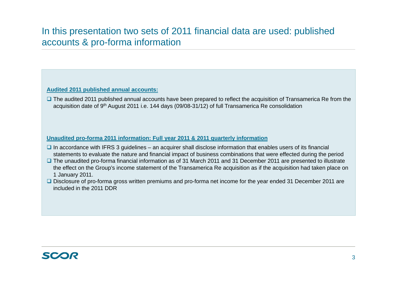# In this presentation two sets of 2011 financial data are used: published accounts & pro-forma information

#### **Audited 2011 published annual accounts:**

■ The audited 2011 published annual accounts have been prepared to reflect the acquisition of Transamerica Re from the acquisition date of 9th August 2011 i.e. 144 days (09/08-31/12) of full Transamerica Re consolidation

#### Unaudited pro-forma 2011 information: Full year 2011 & 2011 quarterly information

- $\Box$  In accordance with IFRS 3 guidelines an acquirer shall disclose information that enables users of its financial statements to evaluate the nature and financial impact of business combinations that were effected during the period
- The unaudited pro-forma financial information as of 31 March 2011 and 31 December 2011 are presented to illustrate the effect on the Group's income statement of the Transamerica Re acquisition as if the acquisition had taken place on 1 January 2011.
- Disclosure of pro-forma gross written premiums and pro-forma net income for the year ended 31 December 2011 are included in the 2011 DDR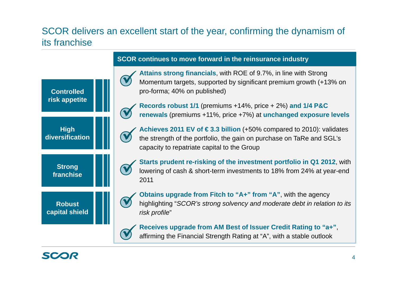# SCOR delivers an excellent start of the year, confirming the dynamism of its franchise

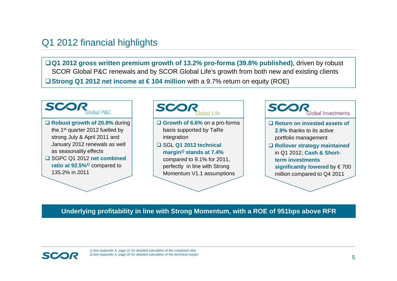### Q1 2012 financial highlights

**Q1 2012 gross written premium growth of 13.2% pro-forma (39.8% published)**, driven by robust SCOR Global P&C renewals and by SCOR Global Life's growth from both new and existing clients **Strong Q1 2012 net income at € 104 million** with a 9.7% return on equity (ROE)



#### **Underlying profitability in line with Strong Momentum, with a ROE of 951bps above RFR**

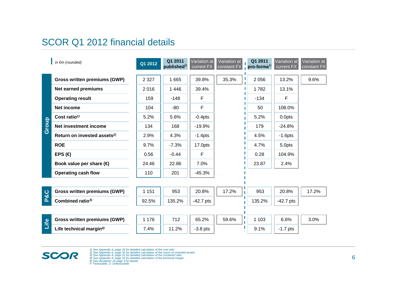# SCOR Q1 2012 financial details

|              | in $\notin$ m (rounded)                 | Q1 2012 | Q1 2011<br>published <sup>5)</sup> | Variation at<br>current FX | Variation at<br>constant FX | Q1 2011<br>pro-forma $^{5)}$ | Variation at<br>current FX | Variation at<br>constant FX |
|--------------|-----------------------------------------|---------|------------------------------------|----------------------------|-----------------------------|------------------------------|----------------------------|-----------------------------|
|              | <b>Gross written premiums (GWP)</b>     | 2 3 2 7 | 1 6 6 5                            | 39.8%                      | 35.3%                       | 2 0 5 6                      | 13.2%                      | 9.6%                        |
|              | Net earned premiums                     | 2016    | 1 4 4 6                            | 39.4%                      |                             | 1782                         | 13.1%                      |                             |
|              | <b>Operating result</b>                 | 159     | $-148$                             | F                          |                             | $-134$                       | F                          |                             |
|              | <b>Net income</b>                       | 104     | $-80$                              | F                          |                             | 50                           | 108.0%                     |                             |
|              | Cost ratio <sup><math>1</math></sup>    | 5.2%    | 5.6%                               | $-0.4$ pts                 |                             | 5.2%                         | 0.0pts                     |                             |
| Group        | Net investment income                   | 134     | 168                                | $-19.9%$                   |                             | 179                          | $-24.8%$                   |                             |
|              | Return on invested assets <sup>2)</sup> | 2.9%    | 4.3%                               | $-1.4$ pts                 |                             | 4.5%                         | $-1.6$ pts                 |                             |
|              | <b>ROE</b>                              | 9.7%    | $-7.3%$                            | 17.0pts                    |                             | 4.7%                         | 5.0pts                     |                             |
|              | EPS $($                                 | 0.56    | $-0.44$                            | F                          |                             | 0.28                         | 104.9%                     |                             |
|              | Book value per share $\bigoplus$        | 24.46   | 22.86                              | 7.0%                       |                             | 23.87                        | 2.4%                       |                             |
|              | <b>Operating cash flow</b>              | 110     | 201                                | $-45.3%$                   |                             |                              |                            |                             |
|              |                                         |         |                                    |                            |                             |                              |                            |                             |
| ္လြင္လ       | <b>Gross written premiums (GWP)</b>     | 1 1 5 1 | 953                                | 20.8%                      | 17.2%<br>П                  | 953                          | 20.8%                      | 17.2%                       |
| $\mathbf{a}$ | Combined ratio <sup>3)</sup>            | 92.5%   | 135.2%                             | $-42.7$ pts                |                             | 135.2%                       | $-42.7$ pts                |                             |
|              |                                         |         |                                    |                            |                             |                              |                            |                             |
| Life         | <b>Gross written premiums (GWP)</b>     | 1 1 7 6 | 712                                | 65.2%                      | 59.6%                       | 1 1 0 3                      | 6.6%                       | 3.0%                        |
|              | Life technical margin <sup>4)</sup>     | 7.4%    | 11.2%                              | $-3.8$ pts                 |                             | 9.1%                         | $-1.7$ pts                 |                             |



1) See Appendix A, page 23 for detailed calculation of the cost ratio<br>2) See Appendix E, page 32 for detailed calculation of the return on invested assets<br>3) See Appendix A, page 21 for detailed calculation of the combined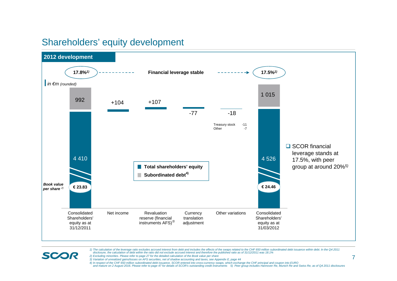#### Shareholders' equity development



1) The calculation of the leverage ratio excludes accrued interest from debt and includes the effects of the swaps related to the CHF 650 million subordinated debt issuance within debt. In the Q4 2011<br>disclosure, the calcu

*2) Excluding minorities. Please refer to page 27 for the detailed calculation of the Book value per share* 

**SCOR** 

*3) Variation of unrealized gains/losses on AFS securities, net of shadow accounting and taxes, see Appendix E, page 44*

*4) In respect of the CHF 650 million subordinated debt issuance, SCOR entered into cross-currency swaps, which exchange the CHF principal and coupon into EURO and mature on 2 August 2016. Please refer to page 47 for details of SCOR's outstanding credit instruments 5) Peer group includes Hannover Re, Munich Re and Swiss Re, as of Q4 2011 disclosures*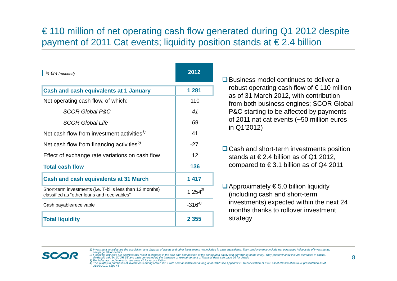# € 110 million of net operating cash flow generated during Q1 2012 despite payment of 2011 Cat events; liquidity position stands at € 2.4 billion

| $\ln \epsilon m$ (rounded)                                                                               | 2012              |
|----------------------------------------------------------------------------------------------------------|-------------------|
| <b>Cash and cash equivalents at 1 January</b>                                                            | 1 2 8 1           |
| Net operating cash flow, of which:                                                                       | 110               |
| <b>SCOR Global P&amp;C</b>                                                                               | 41                |
| <b>SCOR Global Life</b>                                                                                  | 69                |
| Net cash flow from investment activities <sup><math>1</math></sup>                                       | 41                |
| Net cash flow from financing activities <sup>2)</sup>                                                    | $-27$             |
| Effect of exchange rate variations on cash flow                                                          | $12 \overline{ }$ |
| <b>Total cash flow</b>                                                                                   | 136               |
| <b>Cash and cash equivalents at 31 March</b>                                                             | 1417              |
| Short-term investments (i.e. T-bills less than 12 months)<br>classified as "other loans and receivables" | 1 254 $3$         |
| Cash payable/receivable                                                                                  | $-316^{4}$        |
| <b>Total liquidity</b>                                                                                   | 2 3 5 5           |

**□** Business model continues to deliver a robust operating cash flow of  $\epsilon$  110 million as of 31 March 2012, with contribution from both business engines; SCOR Global P&C starting to be affected by payments of 2011 nat cat events (~50 million euros in Q1'2012)

**□ Cash and short-term investments position** stands at  $\epsilon$  2.4 billion as of Q1 2012. compared to  $\in$  3.1 billion as of Q4 2011

 $\Box$  Approximately  $\epsilon$  5.0 billion liquidity (including cash and short-term investments) expected within the next 24 months thanks to rollover investment strategy



<sup>1)</sup> Investment activities are the acquisition and disposal of assets and other investments not included in cash equivalents. They predominantly include net purchases / disposals of investments; see page 26 for details<br>2) Financing activities are activities that result in changes in the size and composition of the contributed equity and borrowings of the entity. They predominantly include increases in capital,

dividends paid by SCOR SE and cash generated by the issuance or reimbursement of financial debt; see page 26 for details<br>3) Excludes accrued interests; see page 46 for reconciliation<br>4) This relates to purchases of investm

*<sup>31/03/2012,</sup> page 46*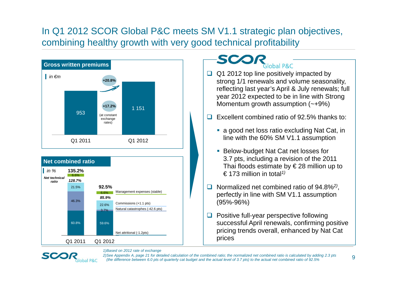# In Q1 2012 SCOR Global P&C meets SM V1.1 strategic plan objectives, combining healthy growth with very good technical profitability



#### SCO obal P&C

- $\Box$  Q1 2012 top line positively impacted by strong 1/1 renewals and volume seasonality, reflecting last year's April & July renewals; full year 2012 expected to be in line with Strong Momentum growth assumption (~+9%)
- $\Box$  Excellent combined ratio of 92.5% thanks to:
	- a good net loss ratio excluding Nat Cat, in line with the 60% SM V1.1 assumption
	- Below-budget Nat Cat net losses for 3.7 pts, including a revision of the 2011 Thai floods estimate by  $\in$  28 million up to € 173 million in total*1)*
- $\Box$  Normalized net combined ratio of 94.8%*2)*, perfectly in line with SM V1.1 assumption (95%-96%)
- $\Box$  Positive full-year perspective following successful April renewals, confirming positive pricing trends overall, enhanced by Nat Cat prices



*1)Based on 2012 rate of exchange*

*2)See Appendix A, page 21 for detailed calculation of the combined ratio; the normalized net combined ratio is calculated by adding 2.3 pts (the difference between 6.0 pts of quarterly cat budget and the actual level of 3.7 pts) to the actual net combined ratio of 92.5%*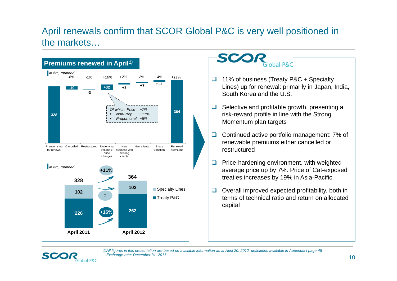# April renewals confirm that SCOR Global P&C is very well positioned in the markets…



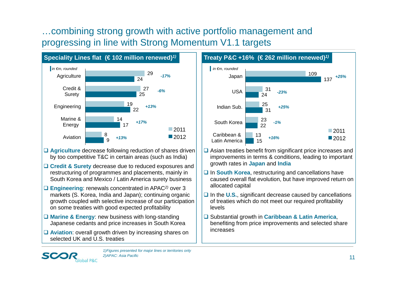# …combining strong growth with active portfolio management and progressing in line with Strong Momentum V1.1 targets



- **□ Agriculture** decrease following reduction of shares driven by too competitive T&C in certain areas (such as India)
- **Credit & Surety** decrease due to reduced exposures and restructuring of programmes and placements, mainly in South Korea and Mexico / Latin America surety business
- **Engineering**: renewals concentrated in APAC*2)* over 3 markets (S. Korea, India and Japan); continuing organic growth coupled with selective increase of our participation on some treaties with good expected profitability
- **Marine & Energy**: new business with long-standing Japanese cedants and price increases in South Korea
- **Aviation**: overall growth driven by increasing shares on selected UK and U.S. treaties



- **□** Asian treaties benefit from significant price increases and improvements in terms & conditions, leading to important growth rates in **Japan** and **India**
- **□ In South Korea**, restructuring and cancellations have caused overall flat evolution, but have improved return on allocated capital
- **□** In the U.S., significant decrease caused by cancellations of treaties which do not meet our required profitability levels
- Substantial growth in **Caribbean & Latin America**, benefiting from price improvements and selected share increases

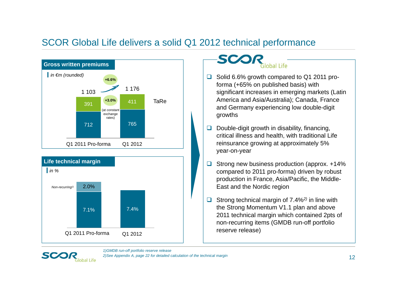# SCOR Global Life delivers a solid Q1 2012 technical performance





#### SCO alobal Life

- □ Solid 6.6% growth compared to Q1 2011 proforma (+65% on published basis) with significant increases in emerging markets (Latin America and Asia/Australia); Canada, France and Germany experiencing low double-digit growths
- $\Box$  Double-digit growth in disability, financing, critical illness and health, with traditional Life reinsurance growing at approximately 5% year-on-year
- 0 Strong new business production (approx. +14% compared to 2011 pro-forma) driven by robust production in France, Asia/Pacific, the Middle-East and the Nordic region
- $\Box$  Strong technical margin of 7.4%*2)* in line with the Strong Momentum V1.1 plan and above 2011 technical margin which contained 2pts of non-recurring items (GMDB run-off portfolio reserve release)

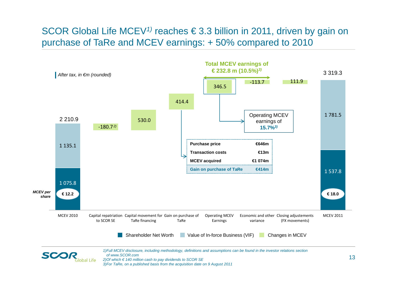# SCOR Global Life MCEV*1)* reaches € 3.3 billion in 2011, driven by gain on purchase of TaRe and MCEV earnings: + 50% compared to 2010

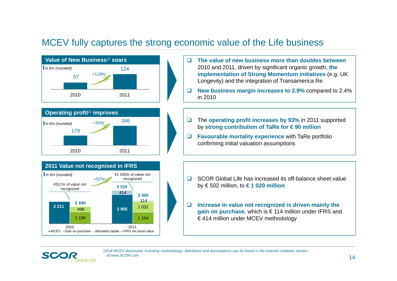### MCEV fully captures the strong economic value of the Life business



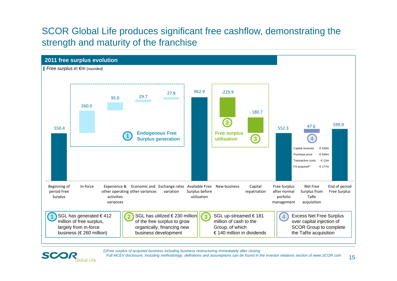# SCOR Global Life produces significant free cashflow, demonstrating the strength and maturity of the franchise



*1)Free surplus of acquired business including business restructuring immediately after closing*

**SCO** 

lobal Life

*Full MCEV disclosure, including methodology, definitions and assumptions can be found in the investor relations section of www.SCOR.com*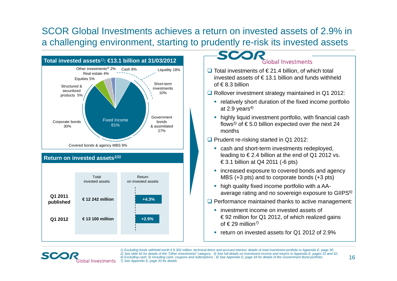SCOR Global Investments achieves a return on invested assets of 2.9% in a challenging environment, starting to prudently re-risk its invested assets





- **□** Total investments of  $\epsilon$  21.4 billion, of which total invested assets of  $\in$  13.1 billion and funds withheld of € 8.3 billion
- **Rollover investment strategy maintained in Q1 2012:** 
	- relatively short duration of the fixed income portfolio at 2.9 years*4)*
	- **•** highly liquid investment portfolio, with financial cash flows*5)* of € 5.0 billion expected over the next 24 months
- **□** Prudent re-risking started in Q1 2012:
	- **Example 2** cash and short-term investments redeployed, leading to  $\epsilon$  2.4 billion at the end of Q1 2012 vs. € 3.1 billion at Q4 2011 (-6 pts)
	- **Example 2** increased exposure to covered bonds and agency MBS (+3 pts) and to corporate bonds (+3 pts)
	- high quality fixed income portfolio with a AAaverage rating and no sovereign exposure to GIIPS*6)*
- $\Box$  Performance maintained thanks to active management:
	- **I** investment income on invested assets of € 92 million for Q1 2012, of which realized gains of  $\in$  29 million<sup>7)</sup>
	- return on invested assets for Q1 2012 of 2.9%

SCO

*1) Excluding funds withheld worth € 8 302 million, technical items and accrued interest; details of total investment portfolio in Appendix E, page 30; 2) See slide 42 for details of the "Other investments" category; 3) See full details on investment income and returns in Appendix E, pages 31 and 32; 4) Excluding cash; 5) Including cash, coupons and redemptions ; 6) See Appendix E, page 34 for details of the Government Bond portfolio; 7) See Appendix E, page 33 for details*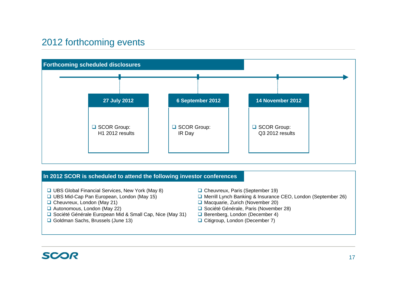# 2012 forthcoming events



#### **In 2012 SCOR is scheduled to attend the following investor conferences**

- **□ UBS Global Financial Services, New York (May 8)**
- **□ UBS Mid-Cap Pan European, London (May 15)**
- □ Cheuvreux, London (May 21)
- Autonomous, London (May 22)
- **□** Société Générale European Mid & Small Cap, Nice (May 31)
- **□ Goldman Sachs, Brussels (June 13)**
- □ Cheuvreux, Paris (September 19)
- **□ Merrill Lynch Banking & Insurance CEO, London (September 26)**
- Macquarie, Zurich (November 20)
- **□ Société Générale, Paris (November 28)**
- **□** Berenberg, London (December 4)
- **□ Citigroup, London (December 7)**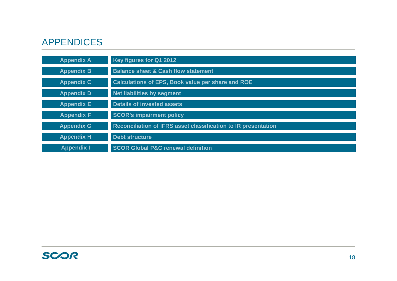# APPENDICES

| <b>Appendix A</b> | Key figures for Q1 2012                                        |
|-------------------|----------------------------------------------------------------|
| <b>Appendix B</b> | <b>Balance sheet &amp; Cash flow statement</b>                 |
| <b>Appendix C</b> | Calculations of EPS, Book value per share and ROE              |
| <b>Appendix D</b> | Net liabilities by segment                                     |
| <b>Appendix E</b> | <b>Details of invested assets</b>                              |
| <b>Appendix F</b> | <b>SCOR's impairment policy</b>                                |
| <b>Appendix G</b> | Reconciliation of IFRS asset classification to IR presentation |
| <b>Appendix H</b> | <b>Debt structure</b>                                          |
| <b>Appendix I</b> | <b>SCOR Global P&amp;C renewal definition</b>                  |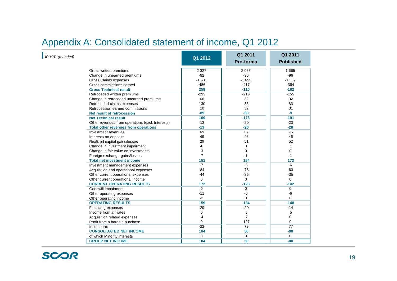# Appendix A: Consolidated statement of income, Q1 2012

| $\ln \epsilon m$ (rounded) |                                                  | Q1 2012        | Q1 2011<br>Pro-forma | Q1 2011<br><b>Published</b> |
|----------------------------|--------------------------------------------------|----------------|----------------------|-----------------------------|
|                            | Gross written premiums                           | 2 3 2 7        | 2 0 5 6              | 1 6 6 5                     |
|                            | Change in unearned premiums                      | $-82$          | $-96$                | $-96$                       |
|                            | Gross Claims expenses                            | $-1501$        | $-1653$              | $-1.387$                    |
|                            | Gross commissions earned                         | $-486$         | $-417$               | $-364$                      |
|                            | <b>Gross Technical result</b>                    | 258            | $-110$               | $-182$                      |
|                            | Retroceded written premiums                      | $-295$         | $-210$               | $-155$                      |
|                            | Change in retroceded unearned premiums           | 66             | 32                   | 32                          |
|                            | Retroceded claims expenses                       | 130            | 83                   | 83                          |
|                            | Retrocession earned commissions                  | 10             | 32                   | 31                          |
|                            | Net result of retrocession                       | $-89$          | $-63$                | -9                          |
|                            | <b>Net Technical result</b>                      | 169            | $-173$               | $-191$                      |
|                            | Other revenues from operations (excl. Interests) | $-13$          | $-20$                | $-20$                       |
|                            | <b>Total other revenues from operations</b>      | $-13$          | $-20$                | $-20$                       |
|                            | Investment revenues                              | 69             | 87                   | 75                          |
|                            | Interests on deposits                            | 49             | 46                   | 46                          |
|                            | Realized capital gains/losses                    | 29             | 51                   | 52                          |
|                            | Change in investment impairment                  | -6             | 1                    | 1                           |
|                            | Change in fair value on investments              | 3              | 0                    | 0                           |
|                            | Foreign exchange gains/losses                    | $\overline{7}$ | $-1$                 | $-1$                        |
|                            | <b>Total net investment income</b>               | 151            | 184                  | 173                         |
|                            | Investment management expenses                   | $-7$           | $-6$                 | $-6$                        |
|                            | Acquisition and operational expenses             | $-84$          | $-78$                | $-63$                       |
|                            | Other current operational expenses               | $-44$          | $-35$                | $-35$                       |
|                            | Other current operational income                 | $\Omega$       | $\Omega$             | $\Omega$                    |
|                            | <b>CURRENT OPERATING RESULTS</b>                 | 172            | $-128$               | $-142$                      |
|                            | Goodwill impairment                              | $\mathbf 0$    | 0                    | 0                           |
|                            | Other operating expenses                         | $-11$          | $-6$                 | $-6$                        |
|                            | Other operating income                           | $-2$           | $\Omega$             | 0                           |
|                            | <b>OPERATING RESULTS</b>                         | 159            | $-134$               | $-148$                      |
|                            | Financing expenses                               | $-29$          | $-20$                | $-14$                       |
|                            | Income from affiliates                           | $\Omega$       | 5                    | 5                           |
|                            | Acquisition related expenses                     | $-4$           | $-7$                 | 0                           |
|                            | Profit from a bargain purchase                   | 0              | 127                  | 0                           |
|                            | Income tax                                       | $-22$          | 79                   | 77                          |
|                            | <b>CONSOLIDATED NET INCOME</b>                   | 104            | 50                   | $-80$                       |
|                            | of which Minority interests                      | $\Omega$       | $\Omega$             | $\mathbf 0$                 |
|                            | <b>GROUP NET INCOME</b>                          | 104            | 50                   | $-80$                       |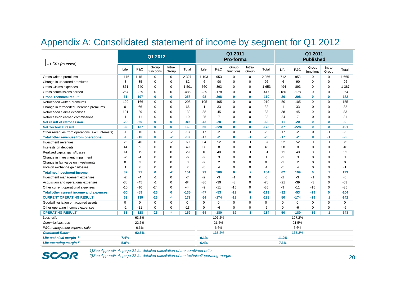### Appendix A: Consolidated statement of income by segment for Q1 2012

| $\ln \epsilon$ m (rounded)                       |             |          | Q1 2012            |                 |                | Q1 2011<br>Pro-forma |                |                    |                      | Q1 2011<br><b>Published</b> |             |                |                    |                      |                |
|--------------------------------------------------|-------------|----------|--------------------|-----------------|----------------|----------------------|----------------|--------------------|----------------------|-----------------------------|-------------|----------------|--------------------|----------------------|----------------|
|                                                  | Life        | P&C      | Group<br>functions | Intra-<br>Group | Total          | Life                 | P&C            | Group<br>functions | Intra-<br>Group      | Total                       | Life        | P&C            | Group<br>functions | Intra-<br>Group      | Total          |
| Gross written premiums                           | 1 1 7 6     | 1 1 5 1  | $\mathbf 0$        | $\mathbf 0$     | 2 3 2 7        | 1 1 0 3              | 953            | 0                  | $\mathbf 0$          | 2056                        | 712         | 953            | $\Omega$           | $\Omega$             | 1665           |
| Change in unearned premiums                      | 3           | $-85$    | $\mathbf 0$        | 0               | $-82$          | -6                   | -90            | 0                  | $\mathbf 0$          | -96                         | -6          | $-90$          | 0                  | $\mathbf 0$          | $-96$          |
| Gross Claims expenses                            | $-861$      | $-640$   | $\mathbf 0$        | 0               | $-1501$        | $-760$               | $-893$         | 0                  | 0                    | $-1653$                     | $-494$      | $-893$         | $\Omega$           | $\mathbf 0$          | $-1387$        |
| Gross commissions earned                         | $-257$      | $-229$   | $\Omega$           | $\Omega$        | $-486$         | $-239$               | $-178$         | 0                  | $\Omega$             | $-417$                      | $-186$      | $-178$         | $\Omega$           | $\Omega$             | $-364$         |
| <b>Gross Technical result</b>                    | 61          | 197      | $\Omega$           | $\bf{0}$        | 258            | 98                   | $-208$         | $\bf{0}$           | $\bf{0}$             | $-110$                      | 26          | $-208$         | $\mathbf{0}$       | $\mathbf{0}$         | $-182$         |
| Retroceded written premiums                      | $-129$      | $-166$   | $\Omega$           | $\Omega$        | $-295$         | $-105$               | $-105$         | 0                  | $\mathbf 0$          | $-210$                      | $-50$       | $-105$         | $\Omega$           | $\Omega$             | $-155$         |
| Change in retroceded unearned premiums           | $\mathbf 0$ | 66       | $\Omega$           | $\Omega$        | 66             | $-1$                 | 33             | 0                  | $\mathbf 0$          | 32                          | $-1$        | 33             | $\Omega$           | $\mathbf 0$          | 32             |
| Retroceded claims expenses                       | 101         | 29       | $\mathbf 0$        | 0               | 130            | 38                   | 45             | 0                  | $\mathbf 0$          | 83                          | 38          | 45             | 0                  | $\mathbf 0$          | 83             |
| Retrocession earned commissions                  | $-1$        | 11       | $\Omega$           | $\Omega$        | 10             | 25                   | $\overline{7}$ | $\Omega$           | $\mathbf 0$          | 32                          | 24          | $\overline{7}$ | $\Omega$           | $\Omega$             | 31             |
| Net result of retrocession                       | $-29$       | $-60$    | $\Omega$           | $\bf{0}$        | $-89$          | $-43$                | $-20$          | $\bf{0}$           | $\bf{0}$             | $-63$                       | 11          | $-20$          | 0                  | $\bf{0}$             | -9             |
| <b>Net Technical result</b>                      | 32          | 137      | $\mathbf{0}$       | $\bf{0}$        | 169            | 55                   | $-228$         | $\bf{0}$           | $\bf{0}$             | $-173$                      | 37          | $-228$         | $\mathbf{0}$       | $\bf{0}$             | $-191$         |
| Other revenues from operations (excl. Interests) | $-1$        | $-10$    | $\Omega$           | $-2$            | $-13$          | $-17$                | $-2$           | 0                  | $-1$                 | $-20$                       | $-17$       | $-2$           | $\Omega$           | $-1$                 | $-20$          |
| <b>Total other revenues from operations</b>      | -1          | $-10$    | $\Omega$           | -2              | $-13$          | $-17$                | -2             | 0                  | $-1$                 | $-20$                       | $-17$       | $-2$           | 0                  | $-1$                 | $-20$          |
| Investment revenues                              | 25          | 46       | $\mathbf 0$        | $-2$            | 69             | 34                   | 52             | 0                  | $\overline{1}$       | 87                          | 22          | 52             | 0                  | -1                   | 75             |
| Interests on deposits                            | 44          | 5        | $\Omega$           | $\Omega$        | 49             | 38                   | 8              | 0                  | $\mathbf 0$          | 46                          | 38          | 8              | $\Omega$           | $\Omega$             | 46             |
| Realized capital gains/losses                    | 14          | 15       | $\Omega$           | $\Omega$        | 29             | 10                   | 40             | 0                  | $\overline{1}$       | 51                          | 11          | 40             | $\Omega$           | -1                   | 52             |
| Change in investment impairment                  | $-2$        | $-4$     | $\Omega$           | $\Omega$        | -6             | $-2$                 | 3              | 0                  | $\Omega$             | 1                           | -2          | 3              | $\Omega$           | $\Omega$             | $\overline{1}$ |
| Change in fair value on investments              | $\mathbf 0$ | 3        | $\Omega$           | $\Omega$        | 3              | $-2$                 | $\overline{2}$ | 0                  | $\Omega$             | 0                           | -2          | $\overline{2}$ | $\Omega$           | $\Omega$             | $\mathbf 0$    |
| Foreign exchange gains/losses                    | -1          | 6        | $\Omega$           | 0               | $\overline{7}$ | -5                   | $\overline{4}$ | 0                  | 0                    | -1                          | -5          | $\overline{4}$ | 0                  | 0                    | $-1$           |
| <b>Total net investment income</b>               | 82          | 71       | $\mathbf{0}$       | $-2$            | 151            | 73                   | 109            | $\bf{0}$           | $\overline{2}$       | 184                         | 62          | 109            | 0                  | $\overline{2}$       | 173            |
| Investment management expenses                   | $-2$        | $-4$     | $-1$               | $\Omega$        | $-7$           | $-2$                 | $-3$           | $-1$               | $\mathbf 0$          | -6                          | $-2$        | $-3$           | $-1$               | $\Omega$             | -6             |
| Acquisition and operational expenses             | $-38$       | $-45$    | $-1$               | $\Omega$        | $-84$          | -36                  | $-39$          | $-3$               | 0                    | $-78$                       | $-21$       | $-39$          | $-3$               | $\mathbf 0$          | -63            |
| Other current operational expenses               | $-10$       | $-10$    | $-24$              | $\Omega$        | $-44$          | -9                   | $-11$          | $-15$              | $\mathbf 0$          | $-35$                       | -9          | $-11$          | $-15$              | $\Omega$             | $-35$          |
| Total other current income and expenses          | $-50$       | $-59$    | $-26$              | $\mathbf 0$     | $-135$         | -47                  | $-53$          | $-19$              | $\bf{0}$             | $-119$                      | $-32$       | $-53$          | $-19$              | $\mathbf{0}$         | $-104$         |
| <b>CURRENT OPERATING RESULT</b>                  | 63          | 139      | $-26$              | -4              | 172            | 64                   | $-174$         | $-19$              | $\blacktriangleleft$ | $-128$                      | 50          | $-174$         | $-19$              | $\blacktriangleleft$ | $-142$         |
| Goodwill variation on acquired assets            | $\mathbf 0$ | $\Omega$ | $\mathbf 0$        | $\Omega$        | $\mathbf{0}$   | $\mathbf 0$          | $\mathbf 0$    | $\mathbf 0$        | $\mathbf 0$          | $\Omega$                    | $\mathbf 0$ | $\mathbf 0$    | $\Omega$           | $\Omega$             | $\mathbf 0$    |
| Other operating income / expenses                | $-2$        | $-11$    | $\mathbf 0$        | $\mathbf 0$     | $-13$          | $\mathbf 0$          | -6             | 0                  | 0                    | -6                          | $\mathbf 0$ | -6             | 0                  | $\mathbf 0$          | -6             |
| <b>OPERATING RESULT</b>                          | 61          | 128      | $-26$              | -4              | 159            | 64                   | $-180$         | $-19$              | $\blacktriangleleft$ | $-134$                      | 50          | $-180$         | $-19$              | -1                   | $-148$         |
| Loss ratio                                       |             | 63.3%    |                    |                 |                |                      | 107.2%         |                    |                      |                             |             | 107.2%         |                    |                      |                |
| 22.6%<br>Commissions ratio                       |             |          |                    |                 | 21.5%          |                      |                |                    |                      | 21.5%                       |             |                |                    |                      |                |
| P&C management expense ratio                     |             | 6.6%     |                    |                 |                |                      | 6.6%           |                    |                      |                             |             | 6.6%           |                    |                      |                |
| <b>Combined Ratio<sup>1)</sup></b>               |             | 92.5%    |                    |                 |                |                      | 135.2%         |                    |                      |                             |             | 135.2%         |                    |                      |                |
| Life technical margin <sup>2)</sup>              | 7.4%        |          |                    |                 |                | 9.1%                 |                |                    |                      |                             | 11.2%       |                |                    |                      |                |
| Life operating margin $^{2)}$                    | 5.8%        |          |                    |                 |                | 6.4%                 |                |                    |                      |                             | 7.6%        |                |                    |                      |                |

**SCOR** 

*1)See Appendix A, page 21 for detailed calculation of the combined ratio*

*2)See Appendix A, page 22 for detailed calculation of the technical/operating margin*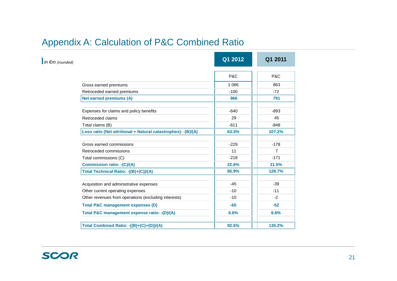# Appendix A: Calculation of P&C Combined Ratio

| $\ln \epsilon m$ (rounded) |                                                                | Q1 2012 | Q1 2011        |
|----------------------------|----------------------------------------------------------------|---------|----------------|
|                            |                                                                | P&C     | P&C            |
|                            | Gross earned premiums                                          | 1 0 6 6 | 863            |
|                            | Retroceded earned premiums                                     | $-100$  | $-72$          |
|                            | Net earned premiums (A)                                        | 966     | 791            |
|                            | Expenses for claims and policy benefits                        | $-640$  | $-893$         |
|                            | Retroceded claims                                              | 29      | 45             |
|                            | Total claims (B)                                               | $-611$  | $-848$         |
|                            | Loss ratio (Net attritional + Natural catastrophes): - (B)/(A) | 63.3%   | 107.2%         |
|                            | Gross earned commissions                                       | $-229$  | $-178$         |
|                            | Retroceded commissions                                         | 11      | $\overline{7}$ |
|                            | Total commissions (C)                                          | $-218$  | $-171$         |
|                            | <b>Commission ratio: - (C)/(A)</b>                             | 22.6%   | 21.5%          |
|                            | Total Technical Ratio: -((B)+(C))/(A)                          | 85.9%   | 128.7%         |
|                            | Acquisition and administrative expenses                        | $-45$   | $-39$          |
|                            | Other current operating expenses                               | $-10$   | $-11$          |
|                            | Other revenues from operations (excluding interests)           | $-10$   | $-2$           |
|                            | <b>Total P&amp;C management expenses (D)</b>                   | -65     | $-52$          |
|                            | Total P&C management expense ratio: - (D)/(A)                  | 6.6%    | 6.6%           |
|                            | Total Combined Ratio: -((B)+(C)+(D))/(A)                       | 92.5%   | 135.2%         |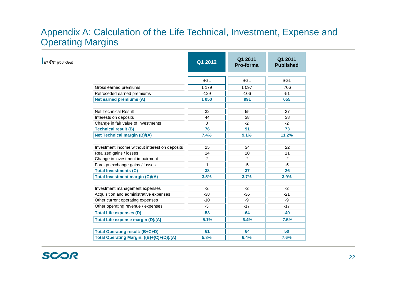### Appendix A: Calculation of the Life Technical, Investment, Expense and Operating Margins

| $\ln \epsilon m$ (rounded) |                                                | Q1 2012      | Q1 2011<br>Pro-forma | Q1 2011<br><b>Published</b> |
|----------------------------|------------------------------------------------|--------------|----------------------|-----------------------------|
|                            |                                                | SGL          | SGL                  | SGL                         |
|                            | Gross earned premiums                          | 1 1 7 9      | 1 0 9 7              | 706                         |
|                            | Retroceded earned premiums                     | $-129$       | $-106$               | $-51$                       |
|                            | <b>Net earned premiums (A)</b>                 | 1 0 5 0      | 991                  | 655                         |
|                            | <b>Net Technical Result</b>                    | 32           | 55                   | 37                          |
|                            | Interests on deposits                          | 44           | 38                   | 38                          |
|                            | Change in fair value of investments            | $\Omega$     | $-2$                 | $-2$                        |
|                            | <b>Technical result (B)</b>                    | 76           | 91                   | 73                          |
|                            | <b>Net Technical margin (B)/(A)</b>            | 7.4%         | 9.1%                 | 11.2%                       |
|                            |                                                |              |                      |                             |
|                            | Investment income without interest on deposits | 25           | 34                   | 22                          |
|                            | Realized gains / losses                        | 14           | 10                   | 11                          |
|                            | Change in investment impairment                | $-2$         | $-2$                 | $-2$                        |
|                            | Foreign exchange gains / losses                | $\mathbf{1}$ | $-5$                 | $-5$                        |
|                            | <b>Total Investments (C)</b>                   | 38           | 37                   | 26                          |
|                            | <b>Total Investment margin (C)/(A)</b>         | 3.5%         | 3.7%                 | 3.9%                        |
|                            | Investment management expenses                 | $-2$         | $-2$                 | $-2$                        |
|                            | Acquisition and administrative expenses        | $-38$        | $-36$                | $-21$                       |
|                            | Other current operating expenses               | $-10$        | $-9$                 | -9                          |
|                            | Other operating revenue / expenses             | $-3$         | $-17$                | $-17$                       |
|                            | <b>Total Life expenses (D)</b>                 | $-53$        | $-64$                | $-49$                       |
|                            | <b>Total Life expense margin (D)/(A)</b>       | $-5.1%$      | $-6.4%$              | $-7.5%$                     |
|                            |                                                |              |                      |                             |
|                            | <b>Total Operating result: (B+C+D)</b>         | 61           | 64                   | 50                          |
|                            | Total Operating Margin: ((B)+(C)+(D))/(A)      | 5.8%         | 6.4%                 | 7.6%                        |

SCOR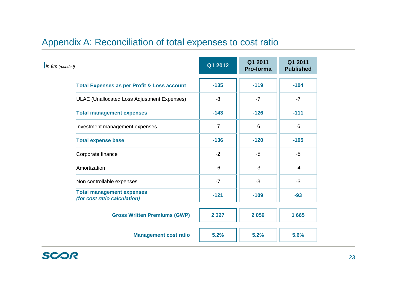# Appendix A: Reconciliation of total expenses to cost ratio

| $\ln \epsilon$ m (rounded)                                       | Q1 2012        | Q1 2011<br>Pro-forma | Q1 2011<br><b>Published</b> |
|------------------------------------------------------------------|----------------|----------------------|-----------------------------|
| <b>Total Expenses as per Profit &amp; Loss account</b>           | $-135$         | $-119$               | $-104$                      |
| <b>ULAE</b> (Unallocated Loss Adjustment Expenses)               | -8             | $-7$                 | $-7$                        |
| <b>Total management expenses</b>                                 | $-143$         | $-126$               | $-111$                      |
| Investment management expenses                                   | $\overline{7}$ | 6                    | 6                           |
| <b>Total expense base</b>                                        | $-136$         | $-120$               | $-105$                      |
| Corporate finance                                                | $-2$           | $-5$                 | $-5$                        |
| Amortization                                                     | -6             | $-3$                 | $-4$                        |
| Non controllable expenses                                        | $-7$           | $-3$                 | $-3$                        |
| <b>Total management expenses</b><br>(for cost ratio calculation) | $-121$         | $-109$               | $-93$                       |
| <b>Gross Written Premiums (GWP)</b>                              | 2 3 2 7        | 2056                 | 1665                        |
| <b>Management cost ratio</b>                                     | 5.2%           | 5.2%                 | 5.6%                        |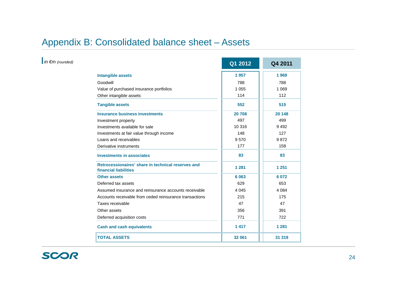# Appendix B: Consolidated balance sheet – Assets

|                                                                             | Q1 2012 | Q4 2011 |
|-----------------------------------------------------------------------------|---------|---------|
| <b>Intangible assets</b>                                                    | 1957    | 1969    |
| Goodwill                                                                    | 788     | 788     |
| Value of purchased insurance portfolios                                     | 1 0 5 5 | 1 0 6 9 |
| Other intangible assets                                                     | 114     | 112     |
| <b>Tangible assets</b>                                                      | 552     | 515     |
| <b>Insurance business investments</b>                                       | 20 708  | 20 148  |
| Investment property                                                         | 497     | 499     |
| Investments available for sale                                              | 10 316  | 9492    |
| Investments at fair value through income                                    | 148     | 127     |
| Loans and receivables                                                       | 9570    | 9872    |
| Derivative instruments                                                      | 177     | 158     |
| <b>Investments in associates</b>                                            | 83      | 83      |
| Retrocessionaires' share in technical reserves and<br>financial liabilities | 1 2 8 1 | 1 2 5 1 |
| <b>Other assets</b>                                                         | 6 0 63  | 6 0 7 2 |
| Deferred tax assets                                                         | 629     | 653     |
| Assumed insurance and reinsurance accounts receivable                       | 4 0 4 5 | 4 0 8 4 |
| Accounts receivable from ceded reinsurance transactions                     | 215     | 175     |
| Taxes receivable                                                            | 47      | 47      |
| Other assets                                                                | 356     | 391     |
| Deferred acquisition costs                                                  | 771     | 722     |
| <b>Cash and cash equivalents</b>                                            | 1417    | 1 2 8 1 |
| <b>TOTAL ASSETS</b>                                                         | 32 061  | 31 319  |

*in €m (rounded)*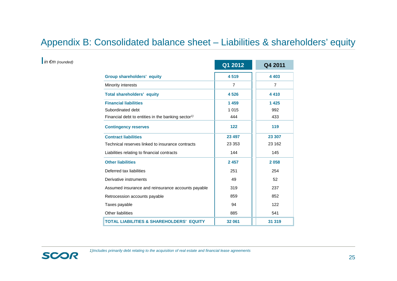# Appendix B: Consolidated balance sheet – Liabilities & shareholders' equity

#### *in €m (rounded)*

|                                                                | Q1 2012 | Q4 2011 |
|----------------------------------------------------------------|---------|---------|
| <b>Group shareholders' equity</b>                              | 4519    | 4 4 0 3 |
| Minority interests                                             | 7       | 7       |
| <b>Total shareholders' equity</b>                              | 4526    | 4410    |
| <b>Financial liabilities</b>                                   | 1459    | 1 4 2 5 |
| Subordinated debt                                              | 1 0 1 5 | 992     |
| Financial debt to entities in the banking sector <sup>1)</sup> | 444     | 433     |
| <b>Contingency reserves</b>                                    | 122     | 119     |
| <b>Contract liabilities</b>                                    | 23 497  | 23 307  |
| Technical reserves linked to insurance contracts               | 23 353  | 23 162  |
| Liabilities relating to financial contracts                    | 144     | 145     |
| <b>Other liabilities</b>                                       | 2 4 5 7 | 2058    |
| Deferred tax liabilities                                       | 251     | 254     |
| Derivative instruments                                         | 49      | 52      |
| Assumed insurance and reinsurance accounts payable             | 319     | 237     |
| Retrocession accounts payable                                  | 859     | 852     |
| Taxes payable                                                  | 94      | 122     |
| <b>Other liabilities</b>                                       | 885     | 541     |
| <b>TOTAL LIABILITIES &amp; SHAREHOLDERS' EQUITY</b>            | 32 061  | 31 319  |

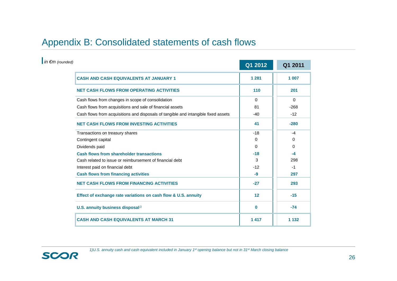# Appendix B: Consolidated statements of cash flows

| $\ln \epsilon$ m (rounded)                                                         | Q1 2012  | Q1 2011  |
|------------------------------------------------------------------------------------|----------|----------|
| <b>CASH AND CASH EQUIVALENTS AT JANUARY 1</b>                                      | 1 2 8 1  | 1 007    |
| <b>NET CASH FLOWS FROM OPERATING ACTIVITIES</b>                                    | 110      | 201      |
| Cash flows from changes in scope of consolidation                                  | $\Omega$ | $\Omega$ |
| Cash flows from acquisitions and sale of financial assets                          | 81       | $-268$   |
| Cash flows from acquisitions and disposals of tangible and intangible fixed assets | $-40$    | $-12$    |
| <b>NET CASH FLOWS FROM INVESTING ACTIVITIES</b>                                    | 41       | $-280$   |
| Transactions on treasury shares                                                    | $-18$    | $-4$     |
| Contingent capital                                                                 | 0        | 0        |
| Dividends paid                                                                     | $\Omega$ | 0        |
| <b>Cash flows from shareholder transactions</b>                                    | $-18$    | $-4$     |
| Cash related to issue or reimbursement of financial debt                           | 3        | 298      |
| Interest paid on financial debt                                                    | $-12$    | $-1$     |
| <b>Cash flows from financing activities</b>                                        | -9       | 297      |
| <b>NET CASH FLOWS FROM FINANCING ACTIVITIES</b>                                    | $-27$    | 293      |
| Effect of exchange rate variations on cash flow & U.S. annuity                     | 12       | $-15$    |
| U.S. annuity business disposal <sup>1)</sup>                                       | $\bf{0}$ | $-74$    |
| <b>CASH AND CASH EQUIVALENTS AT MARCH 31</b>                                       | 1417     | 1 1 3 2  |

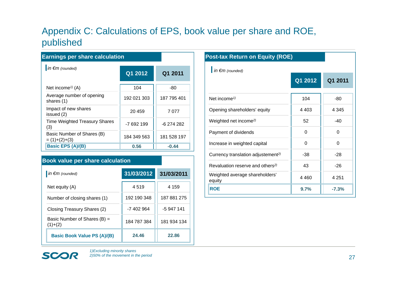# Appendix C: Calculations of EPS, book value per share and ROE, published

| <b>Earnings per share calculation</b>         |             |             |
|-----------------------------------------------|-------------|-------------|
| $\ln \epsilon m$ (rounded)                    | Q1 2012     | Q1 2011     |
| Net income <sup><math>\eta</math></sup> (A)   | 104         | -80         |
| Average number of opening<br>shares (1)       | 192 021 303 | 187 795 401 |
| Impact of new shares<br>issued (2)            | 20459       | 7077        |
| <b>Time Weighted Treasury Shares</b><br>(3)   | -7 692 199  | -6 274 282  |
| Basic Number of Shares (B)<br>$= (1)+(2)+(3)$ | 184 349 563 | 181 528 197 |
| <b>Basic EPS (A)/(B)</b>                      | 0.56        | $-0.44$     |

#### **Book value per share calculation**

| in $\epsilon$ m (rounded)                 | 31/03/2012  | 31/03/2011  |
|-------------------------------------------|-------------|-------------|
| Net equity (A)                            | 4519        | 4 1 5 9     |
| Number of closing shares (1)              | 192 190 348 | 187 881 275 |
| Closing Treasury Shares (2)               | -7 402 964  | -5 947 141  |
| Basic Number of Shares (B) =<br>$(1)+(2)$ | 184 787 384 | 181 934 134 |
| <b>Basic Book Value PS (A)/(B)</b>        | 24.46       | 22.86       |

| <b>Post-tax Return on Equity (ROE)</b>         |          |          |
|------------------------------------------------|----------|----------|
| $\ln \epsilon m$ (rounded)                     |          |          |
|                                                | Q1 2012  | Q1 2011  |
|                                                |          |          |
| Net income <sup><math>1</math></sup>           | 104      | $-80$    |
| Opening shareholders' equity                   | 4 4 0 3  | 4 345    |
| Weighted net income <sup>2)</sup>              | 52       | $-40$    |
| Payment of dividends                           | $\Omega$ | $\Omega$ |
| Increase in weighted capital                   | $\Omega$ | 0        |
| Currency translation adjustement <sup>2)</sup> | $-38$    | $-28$    |
| Revaluation reserve and others <sup>2)</sup>   | 43       | $-26$    |
| Weighted average shareholders'<br>equity       | 4 4 6 0  | 4 2 5 1  |
| <b>ROE</b>                                     | 9.7%     | $-7.3%$  |

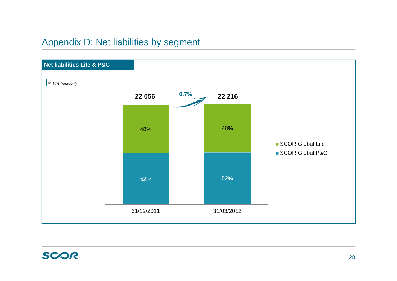# Appendix D: Net liabilities by segment

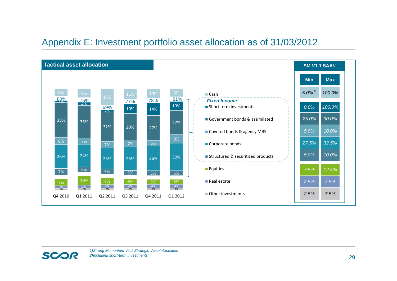### Appendix E: Investment portfolio asset allocation as of 31/03/2012



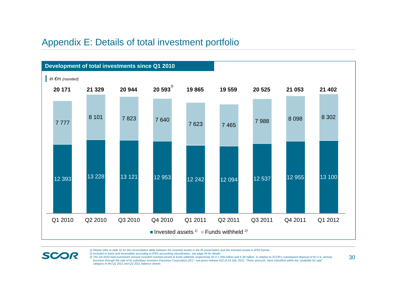#### Appendix E: Details of total investment portfolio



*1) Please refer to slide 31 for the reconciliation table between the invested assets in the IR presentation and the invested assets in IFRS format*

*2) Included in loans and receivables according to IFRS accounting classification, see page 46 for details*

**SCOR** 

3) The Q4 2010 total investment amount included invested assets & funds withheld, respectively for € 1 009 million and € 58 million, in relation to SCOR's subsequent disposal of its U.S. annuity business through the sale of its subsidiary Investors Insurance Corporation (IIC) - see press release #22 of 19 July, 2011. These amounts were classified within the "available for sale" *category in the Q1 2011 and Q2 2011 balance sheets*

30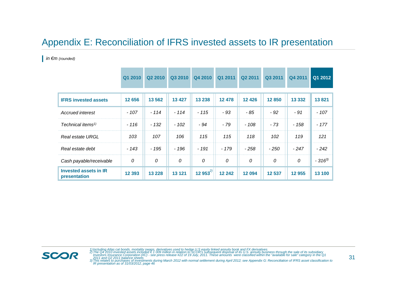### Appendix E: Reconciliation of IFRS invested assets to IR presentation

*in €m (rounded)*

|                                              | Q1 2010      | Q2 2010 | Q3 2010 | Q4 2010      | Q1 2011 | Q2 2011 | Q3 2011 | Q4 2011      | Q1 2012    |
|----------------------------------------------|--------------|---------|---------|--------------|---------|---------|---------|--------------|------------|
| <b>IFRS invested assets</b>                  | 12 656       | 13 5 62 | 13 4 27 | 13 238       | 12 478  | 12 4 26 | 12850   | 13 3 32      | 13821      |
| <b>Accrued interest</b>                      | $-107$       | $-114$  | $-114$  | $-115$       | $-93$   | - 85    | $-92$   | $-91$        | $-107$     |
| Technical items <sup>1)</sup>                | $-116$       | $-132$  | $-102$  | - 94         | $-79$   | $-108$  | $-73$   | $-158$       | $-177$     |
| <b>Real estate URGL</b>                      | 103          | 107     | 106     | 115          | 115     | 118     | 102     | 119          | 121        |
| Real estate debt                             | $-143$       | $-195$  | $-196$  | $-191$       | - 179   | $-258$  | $-250$  | $-247$       | $-242$     |
| Cash payable/receivable                      | $\mathcal O$ | 0       | 0       | 0            | 0       | 0       | 0       | $\mathcal O$ | $-316^{3}$ |
| <b>Invested assets in IR</b><br>presentation | 12 3 93      | 13 2 28 | 13 1 21 | 12 $953^{2}$ | 12 24 2 | 12 094  | 12 537  | 12 955       | 13 100     |

1) Including Atlas cat bonds, mortality swaps, derivatives used to hedge U.S equity linked annuity book and FX derivatives<br>2) The Q4 2010 invested assets included € 1 009 million in relation to SCOR's subsequent disposal o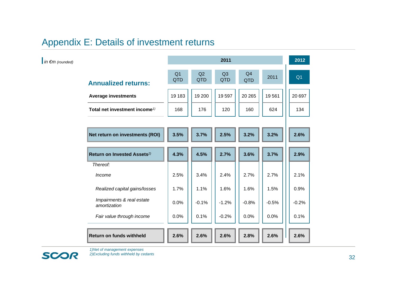# Appendix E: Details of investment returns

|                                                       |                              |           | 2011             |                       |         | 2012           |
|-------------------------------------------------------|------------------------------|-----------|------------------|-----------------------|---------|----------------|
| <b>Annualized returns:</b>                            | Q <sub>1</sub><br><b>QTD</b> | Q2<br>QTD | Q3<br><b>QTD</b> | Q <sub>4</sub><br>QTD | 2011    | Q <sub>1</sub> |
| <b>Average investments</b>                            | 19 183                       | 19 200    | 19597            | 20 26 5               | 19561   | 20 697         |
| Total net investment income <sup><math>1</math></sup> | 168                          | 176       | 120              | 160                   | 624     | 134            |
|                                                       |                              |           |                  |                       |         |                |
| Net return on investments (ROI)                       | 3.5%                         | 3.7%      | 2.5%             | 3.2%                  | 3.2%    | 2.6%           |
| Return on Invested Assets <sup>2)</sup>               | 4.3%                         | 4.5%      | 2.7%             | 3.6%                  | 3.7%    | 2.9%           |
| Thereof:                                              |                              |           |                  |                       |         |                |
| Income                                                | 2.5%                         | 3.4%      | 2.4%             | 2.7%                  | 2.7%    | 2.1%           |
| Realized capital gains/losses                         | 1.7%                         | 1.1%      | 1.6%             | 1.6%                  | 1.5%    | 0.9%           |
| Impairments & real estate<br>amortization             | 0.0%                         | $-0.1%$   | $-1.2%$          | $-0.8%$               | $-0.5%$ | $-0.2%$        |
| Fair value through income                             | 0.0%                         | 0.1%      | $-0.2%$          | 0.0%                  | 0.0%    | 0.1%           |
| <b>Return on funds withheld</b>                       | 2.6%                         | 2.6%      | 2.6%             | 2.8%                  | 2.6%    | 2.6%           |

*in €m (rounded)*



*1)Net of management expenses 2)Excluding funds withheld by cedants*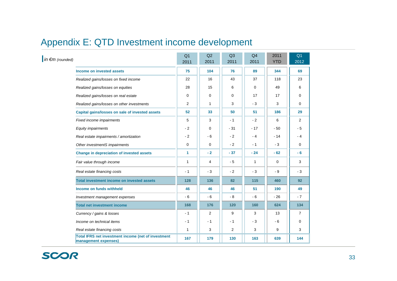# Appendix E: QTD Investment income development

| $\ln \epsilon m$ (rounded) |                                                                             | Q <sub>1</sub><br>2011 | Q2<br>2011 | Q3<br>2011     | Q4<br>2011   | 2011<br><b>YTD</b> | Q <sub>1</sub><br>2012 |
|----------------------------|-----------------------------------------------------------------------------|------------------------|------------|----------------|--------------|--------------------|------------------------|
|                            | Income on invested assets                                                   | 75                     | 104        | 76             | 89           | 344                | 69                     |
|                            | Realized gains/losses on fixed income                                       | 22                     | 16         | 43             | 37           | 118                | 23                     |
|                            | Realized gains/losses on equities                                           | 28                     | 15         | 6              | $\Omega$     | 49                 | 6                      |
|                            | Realized gains/losses on real estate                                        | 0                      | 0          | 0              | 17           | 17                 | 0                      |
|                            | Realized gains/losses on other investments                                  | 2                      | 1          | 3              | $-3$         | 3                  | $\mathbf 0$            |
|                            | Capital gains/losses on sale of invested assets                             | 52                     | 33         | 50             | 51           | 186                | 29                     |
|                            | Fixed income impairments                                                    | 5                      | 3          | $-1$           | $-2$         | 6                  | 2                      |
|                            | <b>Equity impairments</b>                                                   | $-2$                   | 0          | $-31$          | $-17$        | - 50               | $-5$                   |
|                            | Real estate impairments / amortization                                      | $-2$                   | - 6        | $-2$           | $-4$         | $-14$              | $-4$                   |
|                            | Other investmentS impairments                                               | $\mathbf 0$            | 0          | $-2$           | $-1$         | $-3$               | 0                      |
|                            | Change in depreciation of invested assets                                   | $\mathbf{1}$           | $-2$       | $-37$          | $-24$        | $-62$              | - 6                    |
|                            | Fair value through income                                                   | $\mathbf{1}$           | 4          | $-5$           | $\mathbf{1}$ | $\mathbf 0$        | 3                      |
|                            | Real estate financing costs                                                 | $-1$                   | $-3$       | $-2$           | $-3$         | $-9$               | $-3$                   |
|                            | <b>Total investment income on invested assets</b>                           | 128                    | 136        | 82             | 115          | 460                | 92                     |
|                            | Income on funds withheld                                                    | 46                     | 46         | 46             | 51           | 190                | 49                     |
|                            | Investment management expenses                                              | $-6$                   | $-6$       | $-8$           | $-6$         | $-26$              | $-7$                   |
|                            | <b>Total net investment income</b>                                          | 168                    | 176        | 120            | 160          | 624                | 134                    |
|                            | Currency / gains & losses                                                   | $-1$                   | 2          | 9              | 3            | 13                 | $\overline{7}$         |
|                            | Income on technical items                                                   | - 1                    | $-1$       | - 1            | - 3          | $-6$               | 0                      |
|                            | Real estate financing costs                                                 | $\mathbf{1}$           | 3          | $\overline{2}$ | 3            | 9                  | 3                      |
|                            | Total IFRS net investment income (net of investment<br>management expenses) | 167                    | 179        | 130            | 163          | 639                | 144                    |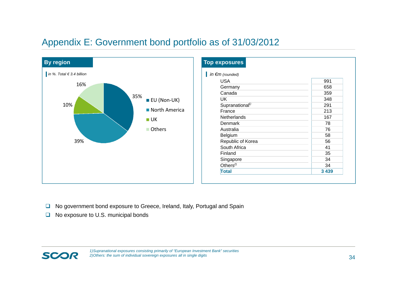## Appendix E: Government bond portfolio as of 31/03/2012



| in $\epsilon$ m (rounded)   |         |
|-----------------------------|---------|
| <b>USA</b>                  | 991     |
| Germany                     | 658     |
| Canada                      | 359     |
| UK                          | 348     |
| Supranational <sup>1)</sup> | 291     |
| France                      | 213     |
| Netherlands                 | 167     |
| Denmark                     | 78      |
| Australia                   | 76      |
| Belgium                     | 58      |
| Republic of Korea           | 56      |
| South Africa                | 41      |
| Finland                     | 35      |
| Singapore                   | 34      |
| Others $^{2)}$              | 34      |
| <b>Total</b>                | 3 4 3 9 |

- **□** No government bond exposure to Greece, Ireland, Italy, Portugal and Spain
- $\Box$  No exposure to U.S. municipal bonds

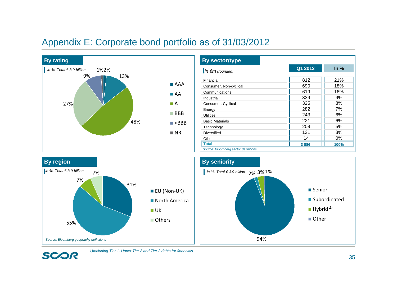### Appendix E: Corporate bond portfolio as of 31/03/2012



| <b>By sector/type</b>                |         |        |
|--------------------------------------|---------|--------|
| $\ln \epsilon$ m (rounded)           | Q1 2012 | $ln\%$ |
|                                      |         |        |
| Financial                            | 812     | 21%    |
| Consumer, Non-cyclical               | 690     | 18%    |
| Communications                       | 619     | 16%    |
| Industrial                           | 339     | 9%     |
| Consumer, Cyclical                   | 325     | 8%     |
| Energy                               | 282     | 7%     |
| <b>Utilities</b>                     | 243     | 6%     |
| <b>Basic Materials</b>               | 221     | 6%     |
| Technology                           | 209     | 5%     |
| <b>Diversified</b>                   | 131     | 3%     |
| Other                                | 14      | 0%     |
| <b>Total</b>                         | 3886    | 100%   |
| Source: Bloomberg sector definitions |         |        |



SCOR



#### *1)Including Tier 1, Upper Tier 2 and Tier 2 debts for financials*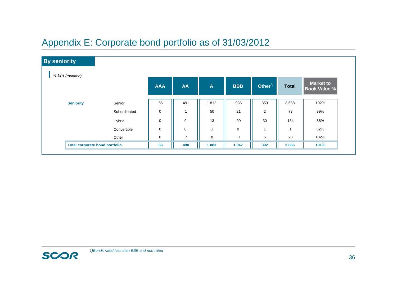# Appendix E: Corporate bond portfolio as of 31/03/2012

| <b>By seniority</b>                   |              |           |                |              |             |                |                |                                  |
|---------------------------------------|--------------|-----------|----------------|--------------|-------------|----------------|----------------|----------------------------------|
| in $\epsilon$ m (rounded)             |              |           |                |              |             |                |                |                                  |
|                                       |              |           | <b>AA</b>      | $\mathbf{A}$ | <b>BBB</b>  | Other $\eta$   | <b>Total</b>   | Market to<br><b>Book Value %</b> |
| <b>Seniority</b>                      | Senior       | 66        | 491            | 1812         | 936         | 353            | 3658           | 102%                             |
|                                       | Subordinated | $\pmb{0}$ | 1              | 50           | 21          | $\overline{c}$ | 73             | 99%                              |
|                                       | Hybrid       | $\pmb{0}$ | $\pmb{0}$      | 13           | 90          | 30             | 134            | 86%                              |
|                                       | Convertible  | $\pmb{0}$ | 0              | $\mathbf 0$  | 0           | $\mathbf 1$    | $\overline{1}$ | 82%                              |
|                                       | Other        | $\pmb{0}$ | $\overline{7}$ | 8            | $\mathbf 0$ | 6              | 20             | 102%                             |
| <b>Total corporate bond portfolio</b> |              | 66        | 498            | 1883         | 1 0 4 7     | 392            | 3886           | 101%                             |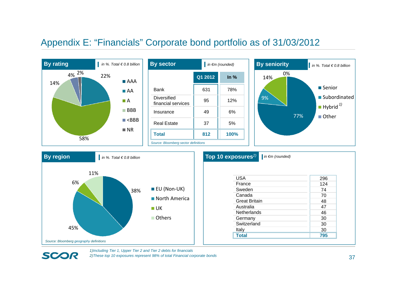#### Appendix E: "Financials" Corporate bond portfolio as of 31/03/2012





**SCOR** 

| Top 10 exposu <u>res<sup>2)</sup></u> | $\ln \epsilon$ m (rounded) |     |
|---------------------------------------|----------------------------|-----|
|                                       |                            |     |
| <b>USA</b>                            |                            | 296 |
| France                                |                            | 124 |
| Sweden                                |                            | 74  |
| Canada                                |                            | 70  |
| <b>Great Britain</b>                  |                            | 48  |
| Australia                             |                            | 47  |
| <b>Netherlands</b>                    |                            | 46  |
| Germany                               |                            | 30  |
| Switzerland                           |                            | 30  |

Italy 30 **Total 795**

*1)Including Tier 1, Upper Tier 2 and Tier 2 debts for financials*

*2)These top 10 exposures represent 98% of total Financial corporate bonds*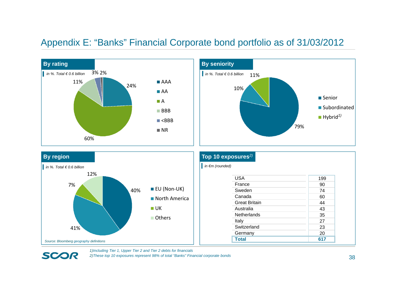#### Appendix E: "Banks" Financial Corporate bond portfolio as of 31/03/2012



*1)Including Tier 1, Upper Tier 2 and Tier 2 debts for financials*

**SCOR** 

*2)These top 10 exposures represent 98% of total "Banks" Financial corporate bonds*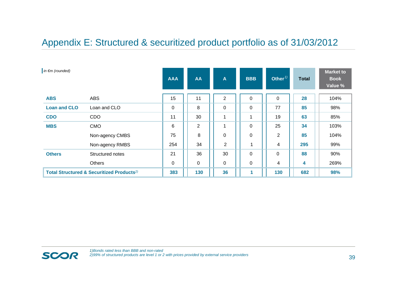### Appendix E: Structured & securitized product portfolio as of 31/03/2012

| in $\epsilon$ m (rounded) |                                                       | <b>AAA</b>  | <b>AA</b>      | A              | <b>BBB</b>  | Other $\frac{1}{2}$ | <b>Total</b> | <b>Market to</b><br><b>Book</b><br>Value % |
|---------------------------|-------------------------------------------------------|-------------|----------------|----------------|-------------|---------------------|--------------|--------------------------------------------|
| <b>ABS</b>                | <b>ABS</b>                                            | 15          | 11             | $\overline{2}$ | $\mathbf 0$ | $\Omega$            | 28           | 104%                                       |
| <b>Loan and CLO</b>       | Loan and CLO                                          | $\mathbf 0$ | 8              | 0              | 0           | 77                  | 85           | 98%                                        |
| <b>CDO</b>                | <b>CDO</b>                                            | 11          | 30             |                | 1           | 19                  | 63           | 85%                                        |
| <b>MBS</b>                | <b>CMO</b>                                            | 6           | $\overline{2}$ |                | $\mathbf 0$ | 25                  | 34           | 103%                                       |
|                           | Non-agency CMBS                                       | 75          | 8              | 0              | 0           | $\overline{2}$      | 85           | 104%                                       |
|                           | Non-agency RMBS                                       | 254         | 34             | $\overline{2}$ |             | 4                   | 295          | 99%                                        |
| <b>Others</b>             | Structured notes                                      | 21          | 36             | 30             | 0           | 0                   | 88           | 90%                                        |
|                           | <b>Others</b>                                         | $\mathbf 0$ | $\mathbf 0$    | $\mathbf 0$    | $\pmb{0}$   | 4                   | 4            | 269%                                       |
|                           | Total Structured & Securitized Products <sup>2)</sup> | 383         | 130            | 36             | 1           | 130                 | 682          | 98%                                        |

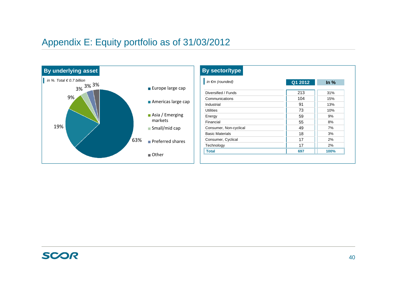# Appendix E: Equity portfolio as of 31/03/2012



| in $\epsilon$ m (rounded) | Q1 2012 | In $%$ |
|---------------------------|---------|--------|
| Diversified / Funds       | 213     | 31%    |
| Communications            | 104     | 15%    |
| Industrial                | 91      | 13%    |
| <b>Utilities</b>          | 73      | 10%    |
| Energy                    | 59      | 9%     |
| Financial                 | 55      | 8%     |
| Consumer, Non-cyclical    | 49      | 7%     |
| <b>Basic Materials</b>    | 18      | 3%     |
| Consumer, Cyclical        | 17      | 2%     |
| Technology                | 17      | 2%     |
| <b>Total</b>              | 697     | 100%   |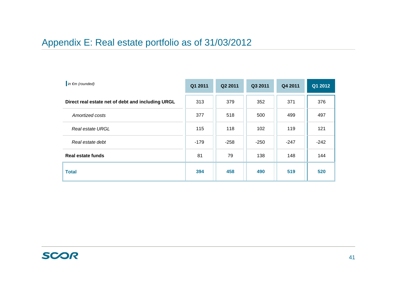# Appendix E: Real estate portfolio as of 31/03/2012

| $\ln \epsilon$ m (rounded)                        | Q1 2011 | Q2 2011 | Q3 2011 | Q4 2011 | Q1 2012 |
|---------------------------------------------------|---------|---------|---------|---------|---------|
| Direct real estate net of debt and including URGL | 313     | 379     | 352     | 371     | 376     |
| Amortized costs                                   | 377     | 518     | 500     | 499     | 497     |
| Real estate URGL                                  | 115     | 118     | 102     | 119     | 121     |
| Real estate debt                                  | -179    | $-258$  | $-250$  | $-247$  | $-242$  |
| <b>Real estate funds</b>                          | 81      | 79      | 138     | 148     | 144     |
| <b>Total</b>                                      | 394     | 458     | 490     | 519     | 520     |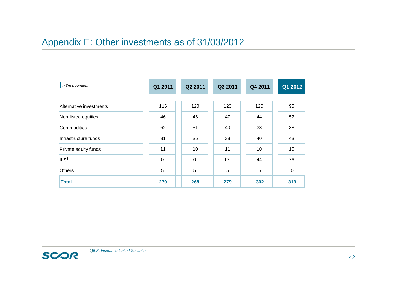# Appendix E: Other investments as of 31/03/2012

| $\ln \epsilon$ m (rounded) | Q1 2011     | Q2 2011     | Q3 2011 | Q4 2011 | Q1 2012   |
|----------------------------|-------------|-------------|---------|---------|-----------|
| Alternative investments    | 116         | 120         | 123     | 120     | 95        |
| Non-listed equities        | 46          | 46          | 47      | 44      | 57        |
| Commodities                | 62          | 51          | 40      | 38      | 38        |
| Infrastructure funds       | 31          | 35          | 38      | 40      | 43        |
| Private equity funds       | 11          | 10          | 11      | 10      | 10        |
| ILS <sup>1</sup>           | $\mathbf 0$ | $\mathbf 0$ | 17      | 44      | 76        |
| Others                     | 5           | 5           | 5       | 5       | $\pmb{0}$ |
| <b>Total</b>               | 270         | 268         | 279     | 302     | 319       |

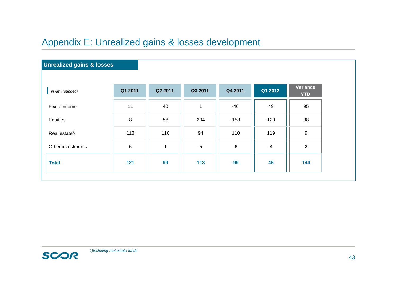# Appendix E: Unrealized gains & losses development

| Q1 2011 | Q2 2011      | Q3 2011 | Q4 2011 | Q1 2012 | Variance<br><b>YTD</b> |
|---------|--------------|---------|---------|---------|------------------------|
| 11      | 40           | 1       | -46     | 49      | 95                     |
| $-8$    | $-58$        | $-204$  | $-158$  | $-120$  | 38                     |
| 113     | 116          | 94      | 110     | 119     | $9\,$                  |
| 6       | $\mathbf{1}$ | $-5$    | $-6$    | $-4$    | $\overline{2}$         |
| 121     | 99           | $-113$  | $-99$   | 45      | 144                    |
|         |              |         |         |         |                        |

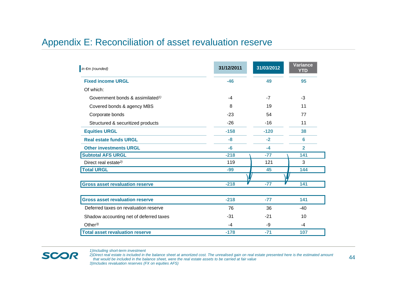#### Appendix E: Reconciliation of asset revaluation reserve

| $\ln \epsilon$ m (rounded)                   | 31/12/2011 | 31/03/2012 | <b>Variance</b><br><b>YTD</b> |
|----------------------------------------------|------------|------------|-------------------------------|
| <b>Fixed income URGL</b>                     | $-46$      | 49         | 95                            |
| Of which:                                    |            |            |                               |
| Government bonds & assimilated <sup>1)</sup> | $-4$       | $-7$       | -3                            |
| Covered bonds & agency MBS                   | 8          | 19         | 11                            |
| Corporate bonds                              | $-23$      | 54         | 77                            |
| Structured & securitized products            | $-26$      | $-16$      | 11                            |
| <b>Equities URGL</b>                         | $-158$     | $-120$     | 38                            |
| <b>Real estate funds URGL</b>                | -8         | $-2$       | 6                             |
| <b>Other investments URGL</b>                | $-6$       | $-4$       | $\overline{2}$                |
| <b>Subtotal AFS URGL</b>                     | $-218$     | $-77$      | 141                           |
| Direct real estate <sup>2)</sup>             | 119        | 121        | 3                             |
| <b>Total URGL</b>                            | $-99$      | 45         | 144                           |
|                                              |            |            |                               |
| <b>Gross asset revaluation reserve</b>       | $-218$     | $-77$      | 141                           |
|                                              |            |            |                               |
| <b>Gross asset revaluation reserve</b>       | $-218$     | $-77$      | 141                           |
| Deferred taxes on revaluation reserve        | 76         | 36         | $-40$                         |
| Shadow accounting net of deferred taxes      | $-31$      | $-21$      | 10                            |
| Other $3$                                    | $-4$       | -9         | -4                            |
| <b>Total asset revaluation reserve</b>       | $-178$     | $-71$      | 107                           |

*1)Including short-term investment*

SCOR

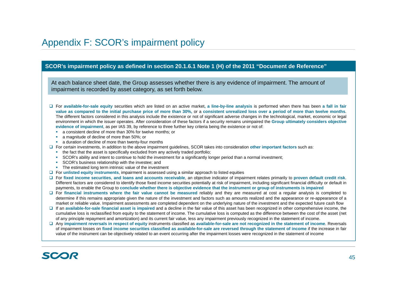### Appendix F: SCOR's impairment policy

#### **SCOR's impairment policy as defined in section 20.1.6.1 Note 1 (H) of the 2011 "Document de Reference"**

At each balance sheet date, the Group assesses whether there is any evidence of impairment. The amount of impairment is recorded by asset category, as set forth below.

- □ For available-for-sale equity securities which are listed on an active market, a line-by-line analysis is performed when there has been a fall in fair value as compared to the initial purchase price of more than 30%, or a consistent unrealized loss over a period of more than twelve months. The different factors considered in this analysis include the existence or not of significant adverse changes in the technological, market, economic or legal environment in which the issuer operates. After consideration of these factors if <sup>a</sup> security remains unimpaired the **Group ultimately considers objective evidence of impairment**, as per IAS 39, by reference to three further key criteria being the existence or not of:
	- $\mathbf{r}$ <sup>a</sup> consistent decline of more than 30% for twelve months; or
	- × <sup>a</sup> magnitude of decline of more than 50%; or
	- <sup>a</sup> duration of decline of more than twenty-four months
- For certain investments, in addition to the above impairment guidelines, SCOR takes into consideration **other important factors** such as:
	- the fact that the asset is specifically excluded from any actively traded portfolio;
	- $\mathbf{R}^{(1)}$ SCOR's ability and intent to continue to hold the investment for <sup>a</sup> significantly longer period than <sup>a</sup> normal investment;
	- **SCOR's business relationship with the investee; and**
	- **The estimated long term intrinsic value of the investment**
- For **unlisted equity instruments**, impairment is assessed using <sup>a</sup> similar approach to listed equities
- □ For fixed income securities, and loans and accounts receivable, an objective indicator of impairment relates primarily to proven default credit risk. Different factors are considered to identify those fixed income securities potentially at risk of impairment, including significant financial difficulty or default in payments, to enable the Group to conclude whether there is objective evidence that the instrument or group of instruments is impaired
- □ For financial instruments where the fair value cannot be measured reliably and they are measured at cost a regular analysis is completed to determine if this remains appropriate given the nature of the investment and factors such as amounts realized and the appearance or re-appearance of <sup>a</sup> market or reliable value. Impairment assessments are completed dependent on the underlying nature of the investment and the expected future cash flo w
- If an **available-for-sale financial asset is impaired** and <sup>a</sup> decline in the fair value of this asset has been recognized in other comprehensive income, the cumulative loss is reclassified from equity to the statement of income. The cumulative loss is computed as the difference between the cost of the asset (net of any principle repayment and amortization) and its current fair value, less any impairment previously recognized in the statement of income.
- □ Any impairment reversals in respect of equity instruments classified as available-for-sale are not recognized in the statement of income. Reversals of impairment losses on fixed income securities classified as available-for-sale are reversed through the statement of income if the increase in fair value of the instrument can be objectively related to an event occurring after the impairment losses were recognized in the statement of income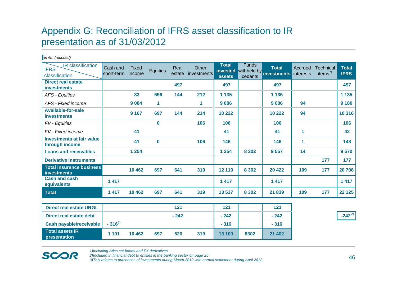# Appendix G: Reconciliation of IFRS asset classification to IR presentation as of 31/03/2012

| IR classification<br><b>IFRS</b><br>classification    | Cash and<br>short-term | Fixed<br>income | Equities | Real<br>estate | Other<br>investments | <b>Total</b><br>invested<br>assets | <b>Funds</b><br>cedants | <b>Total</b><br>withheld by investments | Accrued<br>interests | Technical<br>items $\frac{1}{2}$ | <b>Total</b><br><b>IFRS</b> |
|-------------------------------------------------------|------------------------|-----------------|----------|----------------|----------------------|------------------------------------|-------------------------|-----------------------------------------|----------------------|----------------------------------|-----------------------------|
| <b>Direct real estate</b><br><b>investments</b>       |                        |                 |          | 497            |                      | 497                                |                         | 497                                     |                      |                                  | 497                         |
| AFS - Equities                                        |                        | 83              | 696      | 144            | 212                  | 1 1 3 5                            |                         | 1 1 3 5                                 |                      |                                  | 1 1 3 5                     |
| AFS - Fixed income                                    |                        | 9 0 8 4         | 1        |                | 1                    | 9 0 8 6                            |                         | 9086                                    | 94                   |                                  | 9 1 8 0                     |
| <b>Available-for-sale</b><br><b>investments</b>       |                        | 9 1 6 7         | 697      | 144            | 214                  | 10 222                             |                         | 10 222                                  | 94                   |                                  | 10 316                      |
| FV - Equities                                         |                        |                 | $\bf{0}$ |                | 106                  | 106                                |                         | 106                                     |                      |                                  | 106                         |
| FV - Fixed income                                     |                        | 41              |          |                |                      | 41                                 |                         | 41                                      | 1                    |                                  | 42                          |
| <b>Investments at fair value</b><br>through income    |                        | 41              | $\bf{0}$ |                | 106                  | 146                                |                         | 146                                     | 1                    |                                  | 148                         |
| <b>Loans and receivables</b>                          |                        | 1 2 5 4         |          |                |                      | 1 2 5 4                            | 8 3 0 2                 | 9557                                    | 14                   |                                  | 9570                        |
| <b>Derivative instruments</b>                         |                        |                 |          |                |                      |                                    |                         |                                         |                      | 177                              | 177                         |
| <b>Total insurance business</b><br><b>investments</b> |                        | 10 4 62         | 697      | 641            | 319                  | 12 119                             | 8 3 0 2                 | 20 4 22                                 | 109                  | 177                              | 20708                       |
| <b>Cash and cash</b><br>equivalents                   | 1 4 1 7                |                 |          |                |                      | 1 4 1 7                            |                         | 1 4 1 7                                 |                      |                                  | 1417                        |
| <b>Total</b>                                          | 1417                   | 10 4 62         | 697      | 641            | 319                  | 13 537                             | 8 3 0 2                 | 21839                                   | 109                  | 177                              | 22 1 25                     |
|                                                       |                        |                 |          |                |                      |                                    |                         |                                         |                      |                                  |                             |
| <b>Direct real estate URGL</b>                        |                        |                 |          | 121            |                      | 121                                |                         | 121                                     |                      |                                  |                             |
| <b>Direct real estate debt</b>                        |                        |                 |          | $-242$         |                      | $-242$                             |                         | $-242$                                  |                      |                                  | $-242^{27}$                 |
| <b>Cash payable/receivable</b>                        | $-316^{3}$             |                 |          |                |                      | $-316$                             |                         | $-316$                                  |                      |                                  |                             |
| <b>Total assets IR</b><br>presentation                | 1 1 0 1                | 10 4 62         | 697      | 520            | 319                  | 13 100                             | 8302                    | 21 402                                  |                      |                                  |                             |

**SCOR** 

*in €m (rounded)*

*1)Including Atlas cat bonds and FX derivatives*

*2)Included in financial debt to entities in the banking sector on page 25*

*3)This relates to purchases of investments during March 2012 with normal settlement during April 2012*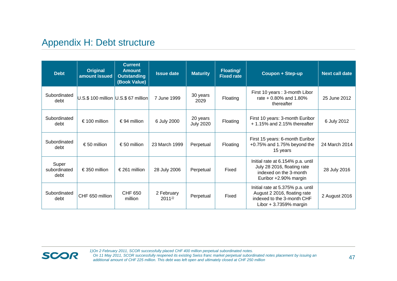# Appendix H: Debt structure

| <b>Debt</b>                   | Original<br>amount issued            | <b>Current</b><br><b>Amount</b><br><b>Outstanding</b><br>(Book Value) | <b>Issue date</b>          | <b>Maturity</b>              | <b>Floating/</b><br><b>Fixed rate</b> | Coupon + Step-up                                                                                                           | <b>Next call date</b> |
|-------------------------------|--------------------------------------|-----------------------------------------------------------------------|----------------------------|------------------------------|---------------------------------------|----------------------------------------------------------------------------------------------------------------------------|-----------------------|
| Subordinated<br>debt          | U.S.\$ 100 million U.S.\$ 67 million |                                                                       | 7 June 1999                | 30 years<br>2029             | Floating                              | First 10 years: 3-month Libor<br>rate + 0.80% and 1.80%<br>thereafter                                                      | 25 June 2012          |
| Subordinated<br>debt          | € 100 million                        | €94 million                                                           | 6 July 2000                | 20 years<br><b>July 2020</b> | Floating                              | First 10 years: 3-month Euribor<br>+1.15% and 2.15% thereafter                                                             | 6 July 2012           |
| Subordinated<br>debt          | €50 million                          | €50 million                                                           | 23 March 1999              | Perpetual                    | Floating                              | First 15 years: 6-month Euribor<br>+0.75% and 1.75% beyond the<br>15 years                                                 | 24 March 2014         |
| Super<br>subordinated<br>debt | €350 million                         | € 261 million                                                         | 28 July 2006               | Perpetual                    | Fixed                                 | Initial rate at 6.154% p.a. until<br>July 28 2016, floating rate<br>indexed on the 3-month<br>Euribor +2.90% margin        | 28 July 2016          |
| Subordinated<br>debt          | CHF 650 million                      | CHF 650<br>million                                                    | 2 February<br>$2011^{1/2}$ | Perpetual                    | Fixed                                 | Initial rate at 5.375% p.a. until<br>August 2 2016, floating rate<br>indexed to the 3-month CHF<br>Libor $+3.7359%$ margin | 2 August 2016         |